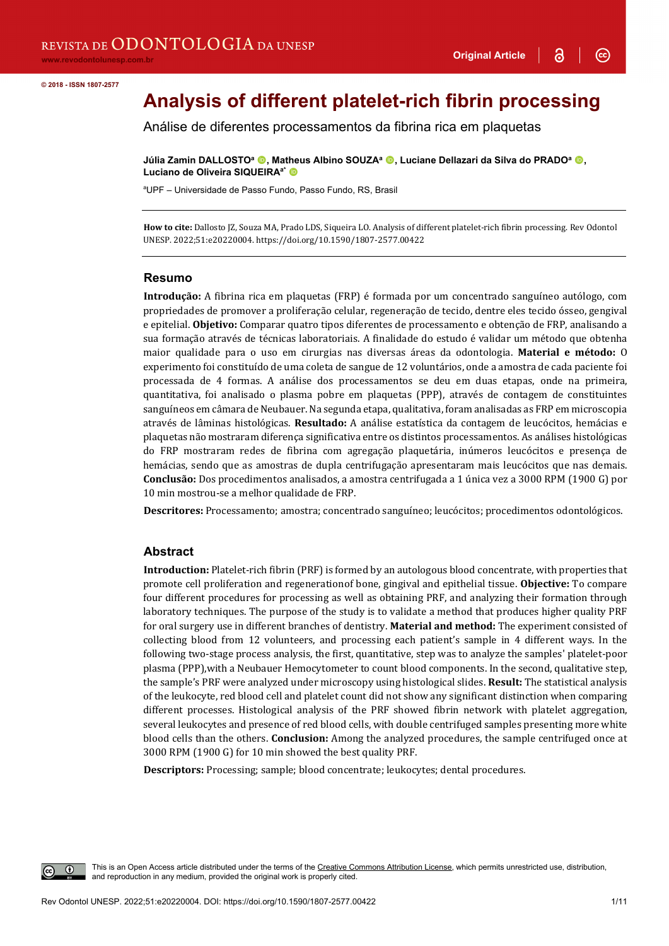$\odot$ 

# **Analysis of different platelet-rich fibrin processing**

Análise de diferentes processamentos da fibrina rica em plaquetas

**Júlia Zamin DALLOSTO<sup>a</sup> ©, Matheus Albino SOUZA<sup>a</sup> ©, Luciane Dellazari da Silva do PRADO<sup>a</sup> ©,** Luciano de Oliveira SIQUEIRA<sup>a\*</sup> <sup>®</sup>

a UPF – Universidade de Passo Fundo, Passo Fundo, RS, Brasil

**How to cite:** Dallosto JZ, Souza MA, Prado LDS, Siqueira LO. Analysis of different platelet-rich fibrin processing. Rev Odontol UNESP. 2022;51:e20220004. https://doi.org/10.1590/1807-2577.00422

#### **Resumo**

**Introdução:** A fibrina rica em plaquetas (FRP) é formada por um concentrado sanguíneo autólogo, com propriedades de promover a proliferação celular, regeneração de tecido, dentre eles tecido ósseo, gengival e epitelial. **Objetivo:** Comparar quatro tipos diferentes de processamento e obtenção de FRP, analisando a sua formação através de técnicas laboratoriais. A finalidade do estudo é validar um método que obtenha maior qualidade para o uso em cirurgias nas diversas áreas da odontologia. **Material e método:** O experimento foi constituído de uma coleta de sangue de 12 voluntários, onde a amostra de cada paciente foi processada de 4 formas. A análise dos processamentos se deu em duas etapas, onde na primeira, quantitativa, foi analisado o plasma pobre em plaquetas (PPP), através de contagem de constituintes sanguíneos em câmara de Neubauer. Na segunda etapa, qualitativa, foram analisadas as FRP em microscopia através de lâminas histológicas. **Resultado:** A análise estatística da contagem de leucócitos, hemácias e plaquetas não mostraram diferença significativa entre os distintos processamentos. As análises histológicas do FRP mostraram redes de fibrina com agregação plaquetária, inúmeros leucócitos e presença de hemácias, sendo que as amostras de dupla centrifugação apresentaram mais leucócitos que nas demais. **Conclusão:** Dos procedimentos analisados, a amostra centrifugada a 1 única vez a 3000 RPM (1900 G) por 10 min mostrou-se a melhor qualidade de FRP.

**Descritores:** Processamento; amostra; concentrado sanguíneo; leucócitos; procedimentos odontológicos.

#### **Abstract**

**Introduction:** Platelet-rich fibrin (PRF) is formed by an autologous blood concentrate, with properties that promote cell proliferation and regenerationof bone, gingival and epithelial tissue. **Objective:** To compare four different procedures for processing as well as obtaining PRF, and analyzing their formation through laboratory techniques. The purpose of the study is to validate a method that produces higher quality PRF for oral surgery use in different branches of dentistry. **Material and method:** The experiment consisted of collecting blood from 12 volunteers, and processing each patient's sample in 4 different ways. In the following two-stage process analysis, the first, quantitative, step was to analyze the samples' platelet-poor plasma (PPP),with a Neubauer Hemocytometer to count blood components. In the second, qualitative step, the sample's PRF were analyzed under microscopy using histological slides. **Result:** The statistical analysis of the leukocyte, red blood cell and platelet count did not show any significant distinction when comparing different processes. Histological analysis of the PRF showed fibrin network with platelet aggregation, several leukocytes and presence of red blood cells, with double centrifuged samples presenting more white blood cells than the others. **Conclusion:** Among the analyzed procedures, the sample centrifuged once at 3000 RPM (1900 G) for 10 min showed the best quality PRF.

**Descriptors:** Processing; sample; blood concentrate; leukocytes; dental procedures.

This is an Open Access article distributed under the terms of the Creative Commons Attribution License, which permits unrestricted use, distribution, and reproduction in any medium, provided the original work is properly cited.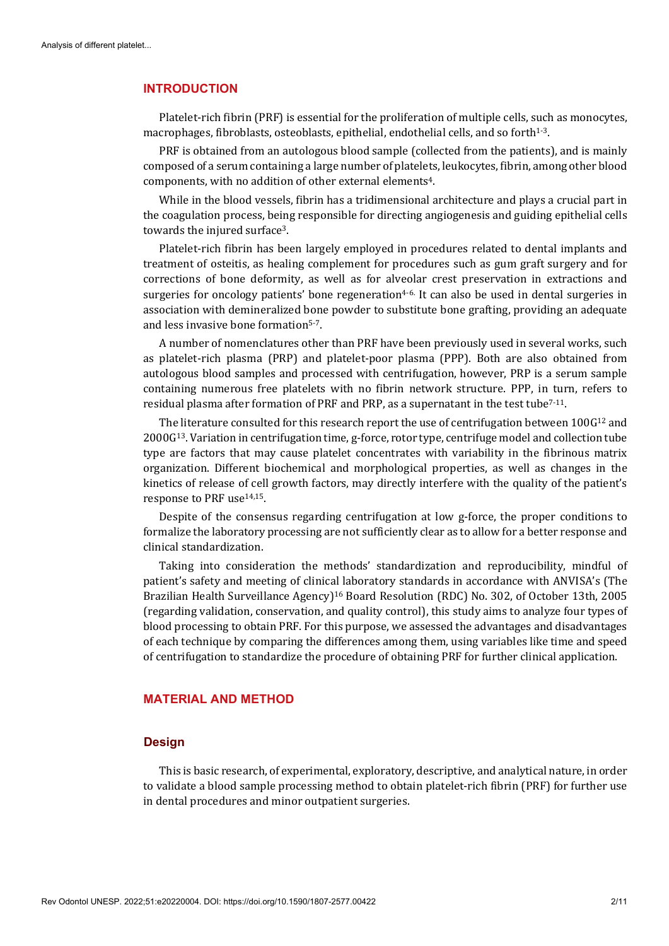#### **INTRODUCTION**

Platelet-rich fibrin (PRF) is essential for the proliferation of multiple cells, such as monocytes, macrophages, fibroblasts, osteoblasts, epithelial, endothelial cells, and so forth<sup>1-3</sup>.

PRF is obtained from an autologous blood sample (collected from the patients), and is mainly composed of a serum containing a large number of platelets, leukocytes, fibrin, among other blood components, with no addition of other external elements4.

While in the blood vessels, fibrin has a tridimensional architecture and plays a crucial part in the coagulation process, being responsible for directing angiogenesis and guiding epithelial cells towards the injured surface3.

Platelet-rich fibrin has been largely employed in procedures related to dental implants and treatment of osteitis, as healing complement for procedures such as gum graft surgery and for corrections of bone deformity, as well as for alveolar crest preservation in extractions and surgeries for oncology patients' bone regeneration<sup>4-6.</sup> It can also be used in dental surgeries in association with demineralized bone powder to substitute bone grafting, providing an adequate and less invasive bone formation5-7.

A number of nomenclatures other than PRF have been previously used in several works, such as platelet-rich plasma (PRP) and platelet-poor plasma (PPP). Both are also obtained from autologous blood samples and processed with centrifugation, however, PRP is a serum sample containing numerous free platelets with no fibrin network structure. PPP, in turn, refers to residual plasma after formation of PRF and PRP, as a supernatant in the test tube<sup>7-11</sup>.

The literature consulted for this research report the use of centrifugation between  $100G^{12}$  and 2000G13. Variation in centrifugation time, g-force, rotor type, centrifuge model and collection tube type are factors that may cause platelet concentrates with variability in the fibrinous matrix organization. Different biochemical and morphological properties, as well as changes in the kinetics of release of cell growth factors, may directly interfere with the quality of the patient's response to PRF use14,15.

Despite of the consensus regarding centrifugation at low g-force, the proper conditions to formalize the laboratory processing are not sufficiently clear as to allow for a better response and clinical standardization.

Taking into consideration the methods' standardization and reproducibility, mindful of patient's safety and meeting of clinical laboratory standards in accordance with ANVISA's (The Brazilian Health Surveillance Agency)16 Board Resolution (RDC) No. 302, of October 13th, 2005 (regarding validation, conservation, and quality control), this study aims to analyze four types of blood processing to obtain PRF. For this purpose, we assessed the advantages and disadvantages of each technique by comparing the differences among them, using variables like time and speed of centrifugation to standardize the procedure of obtaining PRF for further clinical application.

## **MATERIAL AND METHOD**

## **Design**

This is basic research, of experimental, exploratory, descriptive, and analytical nature, in order to validate a blood sample processing method to obtain platelet-rich fibrin (PRF) for further use in dental procedures and minor outpatient surgeries.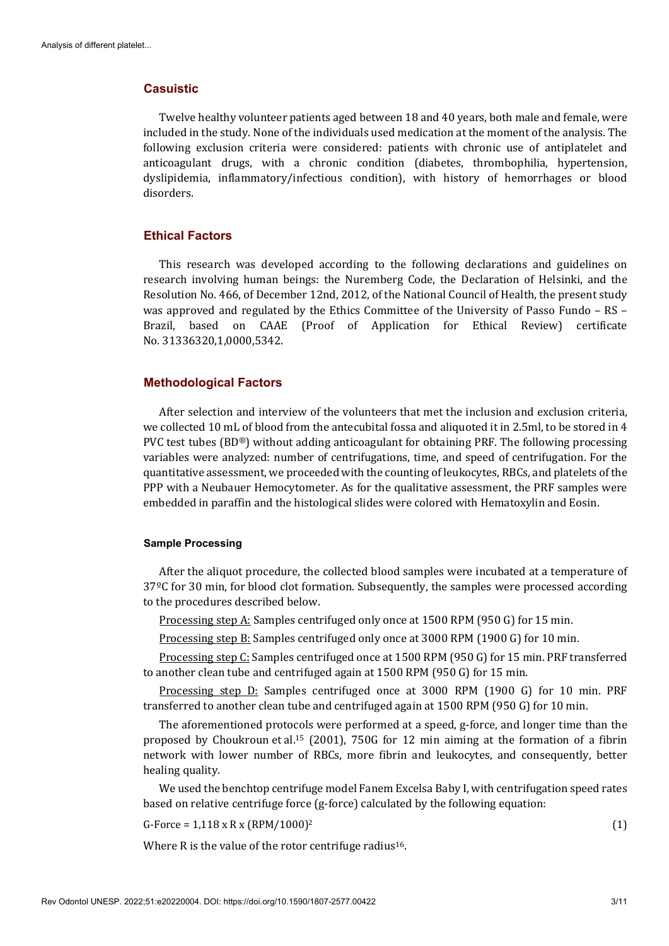## **Casuistic**

Twelve healthy volunteer patients aged between 18 and 40 years, both male and female, were included in the study. None of the individuals used medication at the moment of the analysis. The following exclusion criteria were considered: patients with chronic use of antiplatelet and anticoagulant drugs, with a chronic condition (diabetes, thrombophilia, hypertension, dyslipidemia, inflammatory/infectious condition), with history of hemorrhages or blood disorders.

## **Ethical Factors**

This research was developed according to the following declarations and guidelines on research involving human beings: the Nuremberg Code, the Declaration of Helsinki, and the Resolution No. 466, of December 12nd, 2012, of the National Council of Health, the present study was approved and regulated by the Ethics Committee of the University of Passo Fundo – RS – Brazil, based on CAAE (Proof of Application for Ethical Review) certificate No. 31336320,1,0000,5342.

## **Methodological Factors**

After selection and interview of the volunteers that met the inclusion and exclusion criteria, we collected 10 mL of blood from the antecubital fossa and aliquoted it in 2.5ml, to be stored in 4 PVC test tubes (BD®) without adding anticoagulant for obtaining PRF. The following processing variables were analyzed: number of centrifugations, time, and speed of centrifugation. For the quantitative assessment, we proceeded with the counting of leukocytes, RBCs, and platelets of the PPP with a Neubauer Hemocytometer. As for the qualitative assessment, the PRF samples were embedded in paraffin and the histological slides were colored with Hematoxylin and Eosin.

#### **Sample Processing**

After the aliquot procedure, the collected blood samples were incubated at a temperature of 37<sup>o</sup>C for 30 min, for blood clot formation. Subsequently, the samples were processed according to the procedures described below.

Processing step A: Samples centrifuged only once at 1500 RPM (950 G) for 15 min.

Processing step B: Samples centrifuged only once at 3000 RPM (1900 G) for 10 min.

Processing step C: Samples centrifuged once at 1500 RPM (950 G) for 15 min. PRF transferred to another clean tube and centrifuged again at 1500 RPM (950 G) for 15 min.

Processing step D: Samples centrifuged once at 3000 RPM (1900 G) for 10 min. PRF transferred to another clean tube and centrifuged again at 1500 RPM (950 G) for 10 min.

The aforementioned protocols were performed at a speed, g-force, and longer time than the proposed by Choukroun et al.15 (2001), 750G for 12 min aiming at the formation of a fibrin network with lower number of RBCs, more fibrin and leukocytes, and consequently, better healing quality.

We used the benchtop centrifuge model Fanem Excelsa Baby I, with centrifugation speed rates based on relative centrifuge force (g-force) calculated by the following equation:

G-Force =  $1,118 \times R \times (RPM/1000)^2$  (1)

Where R is the value of the rotor centrifuge radius<sup>16</sup>.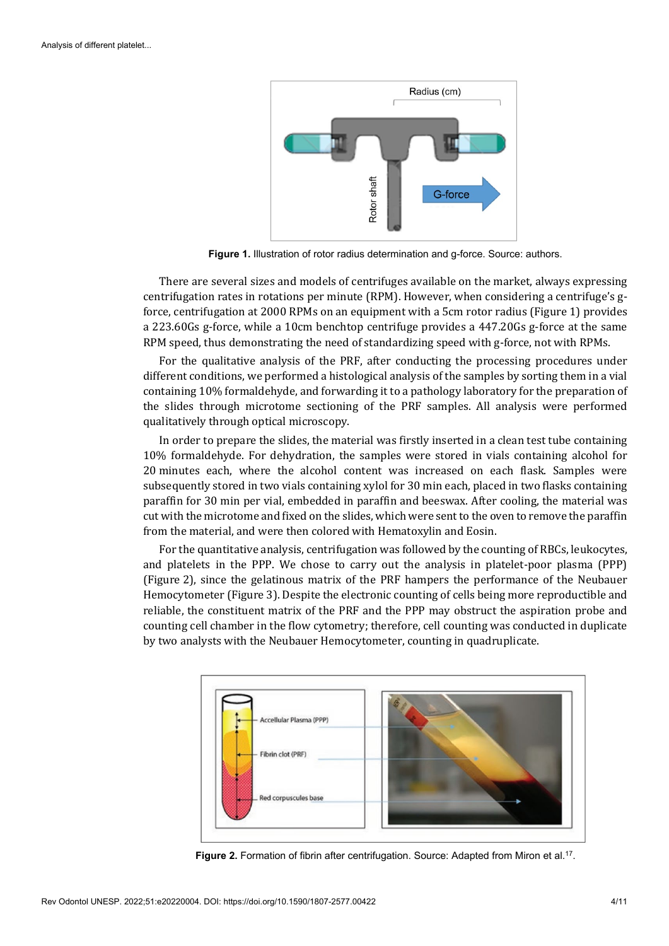

**Figure 1.** Illustration of rotor radius determination and g-force. Source: authors.

There are several sizes and models of centrifuges available on the market, always expressing centrifugation rates in rotations per minute (RPM). However, when considering a centrifuge's gforce, centrifugation at 2000 RPMs on an equipment with a 5cm rotor radius (Figure 1) provides a 223.60Gs g-force, while a 10cm benchtop centrifuge provides a 447.20Gs g-force at the same RPM speed, thus demonstrating the need of standardizing speed with g-force, not with RPMs.

For the qualitative analysis of the PRF, after conducting the processing procedures under different conditions, we performed a histological analysis of the samples by sorting them in a vial containing 10% formaldehyde, and forwarding it to a pathology laboratory for the preparation of the slides through microtome sectioning of the PRF samples. All analysis were performed qualitatively through optical microscopy.

In order to prepare the slides, the material was firstly inserted in a clean test tube containing 10% formaldehyde. For dehydration, the samples were stored in vials containing alcohol for 20 minutes each, where the alcohol content was increased on each flask. Samples were subsequently stored in two vials containing xylol for 30 min each, placed in two flasks containing paraffin for 30 min per vial, embedded in paraffin and beeswax. After cooling, the material was cut with the microtome and fixed on the slides, which were sent to the oven to remove the paraffin from the material, and were then colored with Hematoxylin and Eosin.

For the quantitative analysis, centrifugation was followed by the counting of RBCs, leukocytes, and platelets in the PPP. We chose to carry out the analysis in platelet-poor plasma (PPP) (Figure 2), since the gelatinous matrix of the PRF hampers the performance of the Neubauer Hemocytometer (Figure 3). Despite the electronic counting of cells being more reproductible and reliable, the constituent matrix of the PRF and the PPP may obstruct the aspiration probe and counting cell chamber in the flow cytometry; therefore, cell counting was conducted in duplicate by two analysts with the Neubauer Hemocytometer, counting in quadruplicate.



Figure 2. Formation of fibrin after centrifugation. Source: Adapted from Miron et al.<sup>17</sup>.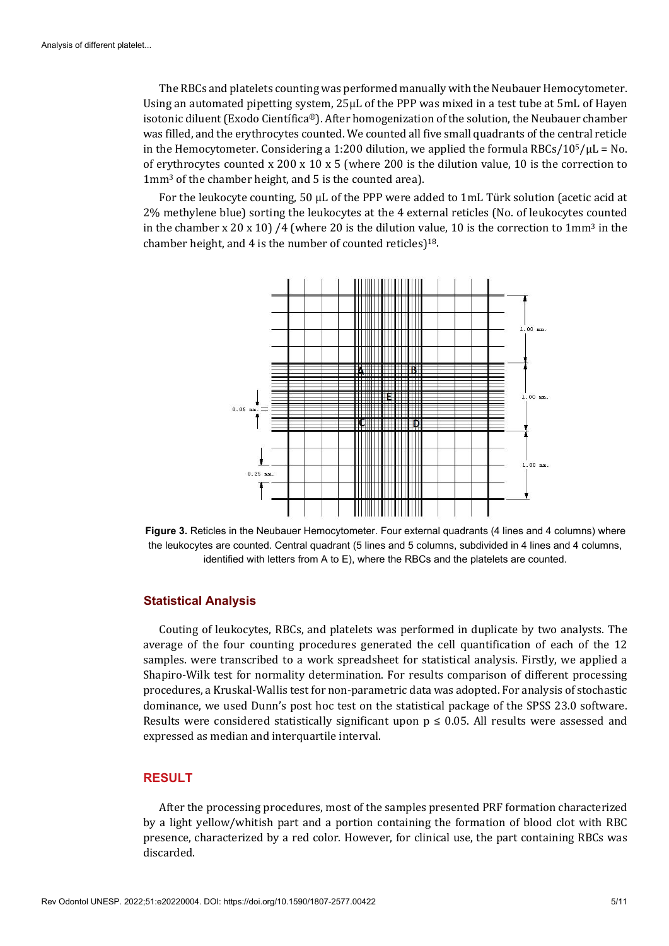The RBCs and platelets counting was performed manually with the Neubauer Hemocytometer. Using an automated pipetting system, 25μL of the PPP was mixed in a test tube at 5mL of Hayen isotonic diluent (Exodo Científica®). After homogenization of the solution, the Neubauer chamber was filled, and the erythrocytes counted. We counted all five small quadrants of the central reticle in the Hemocytometer. Considering a 1:200 dilution, we applied the formula RBCs/10<sup>5</sup>/ $\mu$ L = No. of erythrocytes counted x 200 x 10 x 5 (where 200 is the dilution value, 10 is the correction to 1mm3 of the chamber height, and 5 is the counted area).

For the leukocyte counting, 50 μL of the PPP were added to 1mL Türk solution (acetic acid at 2% methylene blue) sorting the leukocytes at the 4 external reticles (No. of leukocytes counted in the chamber x 20 x 10) /4 (where 20 is the dilution value, 10 is the correction to  $1mm<sup>3</sup>$  in the chamber height, and 4 is the number of counted reticles)18.



**Figure 3.** Reticles in the Neubauer Hemocytometer. Four external quadrants (4 lines and 4 columns) where the leukocytes are counted. Central quadrant (5 lines and 5 columns, subdivided in 4 lines and 4 columns, identified with letters from A to E), where the RBCs and the platelets are counted.

## **Statistical Analysis**

Couting of leukocytes, RBCs, and platelets was performed in duplicate by two analysts. The average of the four counting procedures generated the cell quantification of each of the 12 samples. were transcribed to a work spreadsheet for statistical analysis. Firstly, we applied a Shapiro-Wilk test for normality determination. For results comparison of different processing procedures, a Kruskal-Wallis test for non-parametric data was adopted. For analysis of stochastic dominance, we used Dunn's post hoc test on the statistical package of the SPSS 23.0 software. Results were considered statistically significant upon  $p \le 0.05$ . All results were assessed and expressed as median and interquartile interval.

#### **RESULT**

After the processing procedures, most of the samples presented PRF formation characterized by a light yellow/whitish part and a portion containing the formation of blood clot with RBC presence, characterized by a red color. However, for clinical use, the part containing RBCs was discarded.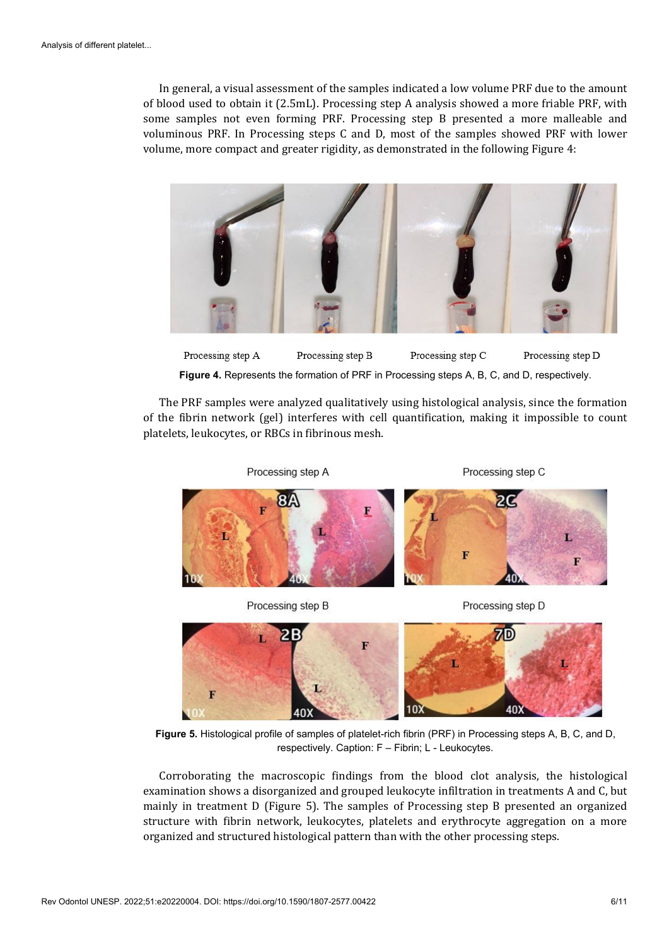In general, a visual assessment of the samples indicated a low volume PRF due to the amount of blood used to obtain it (2.5mL). Processing step A analysis showed a more friable PRF, with some samples not even forming PRF. Processing step B presented a more malleable and voluminous PRF. In Processing steps C and D, most of the samples showed PRF with lower volume, more compact and greater rigidity, as demonstrated in the following Figure 4:



Processing step A Processing step C Processing step B Processing step D **Figure 4.** Represents the formation of PRF in Processing steps A, B, C, and D, respectively.

The PRF samples were analyzed qualitatively using histological analysis, since the formation of the fibrin network (gel) interferes with cell quantification, making it impossible to count platelets, leukocytes, or RBCs in fibrinous mesh.

Processing step A Processing step C Ľ F F Processing step B Processing step D



**Figure 5.** Histological profile of samples of platelet-rich fibrin (PRF) in Processing steps A, B, C, and D, respectively. Caption: F – Fibrin; L - Leukocytes.

Corroborating the macroscopic findings from the blood clot analysis, the histological examination shows a disorganized and grouped leukocyte infiltration in treatments A and C, but mainly in treatment D (Figure 5). The samples of Processing step B presented an organized structure with fibrin network, leukocytes, platelets and erythrocyte aggregation on a more organized and structured histological pattern than with the other processing steps.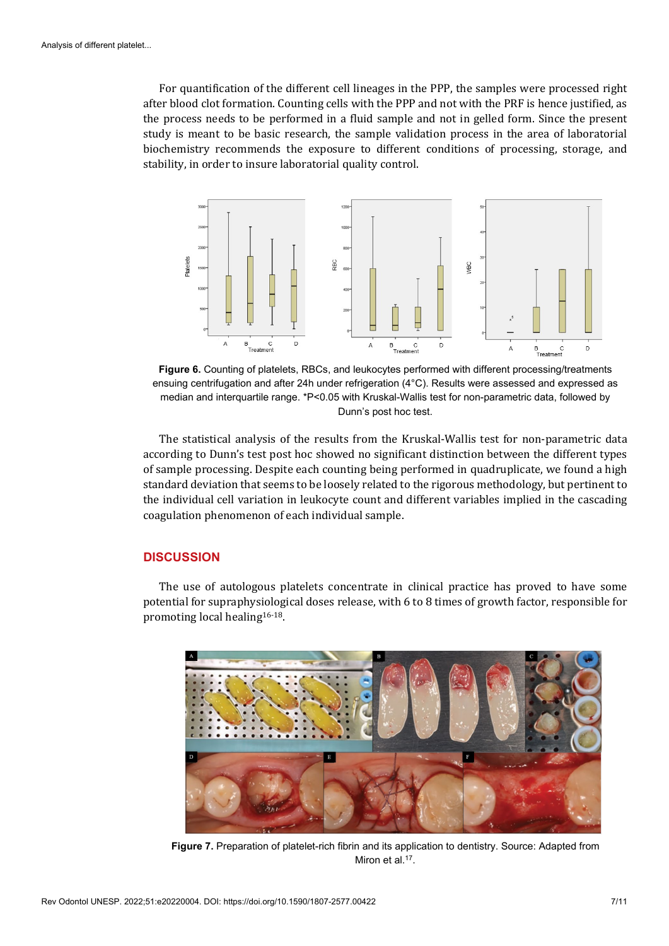For quantification of the different cell lineages in the PPP, the samples were processed right after blood clot formation. Counting cells with the PPP and not with the PRF is hence justified, as the process needs to be performed in a fluid sample and not in gelled form. Since the present study is meant to be basic research, the sample validation process in the area of laboratorial biochemistry recommends the exposure to different conditions of processing, storage, and stability, in order to insure laboratorial quality control.



**Figure 6.** Counting of platelets, RBCs, and leukocytes performed with different processing/treatments ensuing centrifugation and after 24h under refrigeration (4°C). Results were assessed and expressed as median and interquartile range. \*P<0.05 with Kruskal-Wallis test for non-parametric data, followed by Dunn's post hoc test.

The statistical analysis of the results from the Kruskal-Wallis test for non-parametric data according to Dunn's test post hoc showed no significant distinction between the different types of sample processing. Despite each counting being performed in quadruplicate, we found a high standard deviation that seems to be loosely related to the rigorous methodology, but pertinent to the individual cell variation in leukocyte count and different variables implied in the cascading coagulation phenomenon of each individual sample.

## **DISCUSSION**

The use of autologous platelets concentrate in clinical practice has proved to have some potential for supraphysiological doses release, with 6 to 8 times of growth factor, responsible for promoting local healing16-18.



**Figure 7.** Preparation of platelet-rich fibrin and its application to dentistry. Source: Adapted from Miron et al.<sup>17</sup>.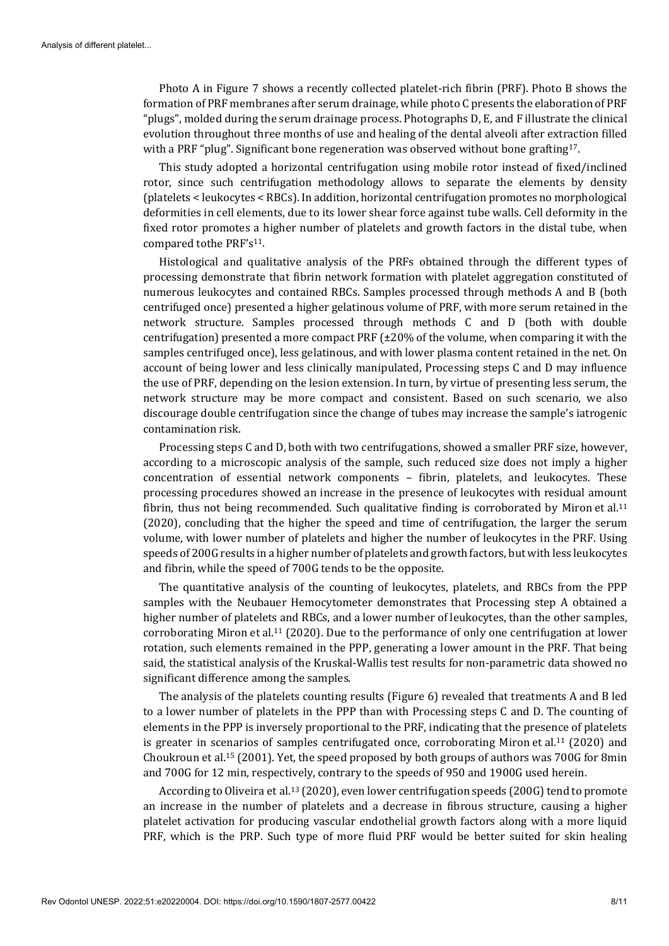Photo A in Figure 7 shows a recently collected platelet-rich fibrin (PRF). Photo B shows the formation of PRF membranes after serum drainage, while photo C presents the elaboration of PRF "plugs", molded during the serum drainage process. Photographs D, E, and F illustrate the clinical evolution throughout three months of use and healing of the dental alveoli after extraction filled with a PRF "plug". Significant bone regeneration was observed without bone grafting<sup>17</sup>.

This study adopted a horizontal centrifugation using mobile rotor instead of fixed/inclined rotor, since such centrifugation methodology allows to separate the elements by density (platelets < leukocytes < RBCs). In addition, horizontal centrifugation promotes no morphological deformities in cell elements, due to its lower shear force against tube walls. Cell deformity in the fixed rotor promotes a higher number of platelets and growth factors in the distal tube, when compared to the PRF's<sup>11</sup>.

Histological and qualitative analysis of the PRFs obtained through the different types of processing demonstrate that fibrin network formation with platelet aggregation constituted of numerous leukocytes and contained RBCs. Samples processed through methods A and B (both centrifuged once) presented a higher gelatinous volume of PRF, with more serum retained in the network structure. Samples processed through methods C and D (both with double centrifugation) presented a more compact PRF (±20% of the volume, when comparing it with the samples centrifuged once), less gelatinous, and with lower plasma content retained in the net. On account of being lower and less clinically manipulated, Processing steps C and D may influence the use of PRF, depending on the lesion extension. In turn, by virtue of presenting less serum, the network structure may be more compact and consistent. Based on such scenario, we also discourage double centrifugation since the change of tubes may increase the sample's iatrogenic contamination risk.

Processing steps C and D, both with two centrifugations, showed a smaller PRF size, however, according to a microscopic analysis of the sample, such reduced size does not imply a higher concentration of essential network components – fibrin, platelets, and leukocytes. These processing procedures showed an increase in the presence of leukocytes with residual amount fibrin, thus not being recommended. Such qualitative finding is corroborated by Miron et al.<sup>11</sup> (2020), concluding that the higher the speed and time of centrifugation, the larger the serum volume, with lower number of platelets and higher the number of leukocytes in the PRF. Using speeds of 200G results in a higher number of platelets and growth factors, but with less leukocytes and fibrin, while the speed of 700G tends to be the opposite.

The quantitative analysis of the counting of leukocytes, platelets, and RBCs from the PPP samples with the Neubauer Hemocytometer demonstrates that Processing step A obtained a higher number of platelets and RBCs, and a lower number of leukocytes, than the other samples, corroborating Miron et al.11 (2020). Due to the performance of only one centrifugation at lower rotation, such elements remained in the PPP, generating a lower amount in the PRF. That being said, the statistical analysis of the Kruskal-Wallis test results for non-parametric data showed no significant difference among the samples.

The analysis of the platelets counting results (Figure 6) revealed that treatments A and B led to a lower number of platelets in the PPP than with Processing steps C and D. The counting of elements in the PPP is inversely proportional to the PRF, indicating that the presence of platelets is greater in scenarios of samples centrifugated once, corroborating Miron et al.11 (2020) and Choukroun et al.15 (2001). Yet, the speed proposed by both groups of authors was 700G for 8min and 700G for 12 min, respectively, contrary to the speeds of 950 and 1900G used herein.

According to Oliveira et al.13 (2020), even lower centrifugation speeds (200G) tend to promote an increase in the number of platelets and a decrease in fibrous structure, causing a higher platelet activation for producing vascular endothelial growth factors along with a more liquid PRF, which is the PRP. Such type of more fluid PRF would be better suited for skin healing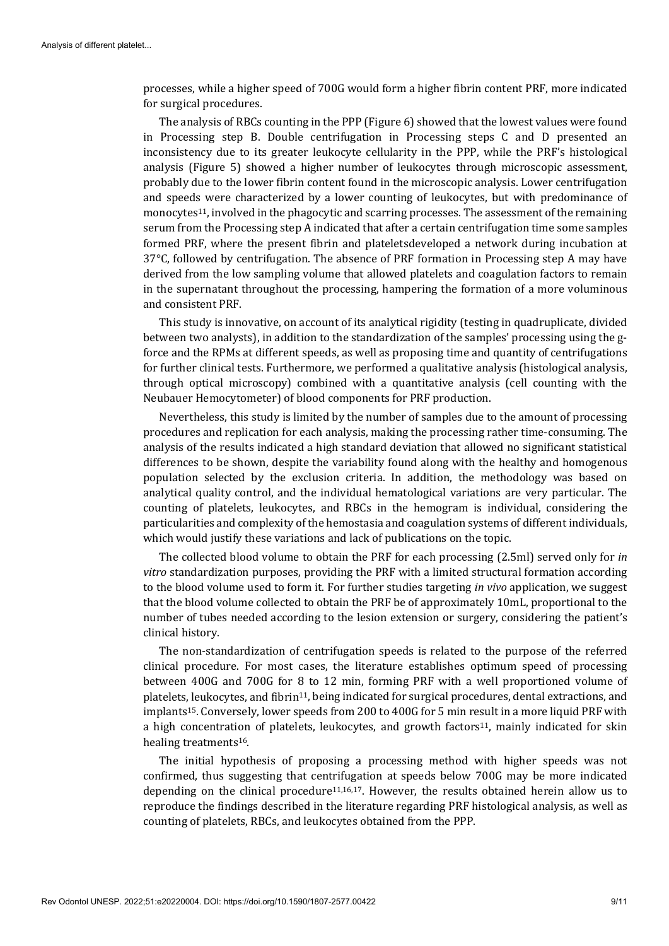processes, while a higher speed of 700G would form a higher fibrin content PRF, more indicated for surgical procedures.

The analysis of RBCs counting in the PPP (Figure 6) showed that the lowest values were found in Processing step B. Double centrifugation in Processing steps C and D presented an inconsistency due to its greater leukocyte cellularity in the PPP, while the PRF's histological analysis (Figure 5) showed a higher number of leukocytes through microscopic assessment, probably due to the lower fibrin content found in the microscopic analysis. Lower centrifugation and speeds were characterized by a lower counting of leukocytes, but with predominance of monocytes11, involved in the phagocytic and scarring processes. The assessment of the remaining serum from the Processing step A indicated that after a certain centrifugation time some samples formed PRF, where the present fibrin and plateletsdeveloped a network during incubation at 37°C, followed by centrifugation. The absence of PRF formation in Processing step A may have derived from the low sampling volume that allowed platelets and coagulation factors to remain in the supernatant throughout the processing, hampering the formation of a more voluminous and consistent PRF.

This study is innovative, on account of its analytical rigidity (testing in quadruplicate, divided between two analysts), in addition to the standardization of the samples' processing using the gforce and the RPMs at different speeds, as well as proposing time and quantity of centrifugations for further clinical tests. Furthermore, we performed a qualitative analysis (histological analysis, through optical microscopy) combined with a quantitative analysis (cell counting with the Neubauer Hemocytometer) of blood components for PRF production.

Nevertheless, this study is limited by the number of samples due to the amount of processing procedures and replication for each analysis, making the processing rather time-consuming. The analysis of the results indicated a high standard deviation that allowed no significant statistical differences to be shown, despite the variability found along with the healthy and homogenous population selected by the exclusion criteria. In addition, the methodology was based on analytical quality control, and the individual hematological variations are very particular. The counting of platelets, leukocytes, and RBCs in the hemogram is individual, considering the particularities and complexity of the hemostasia and coagulation systems of different individuals, which would justify these variations and lack of publications on the topic.

The collected blood volume to obtain the PRF for each processing (2.5ml) served only for *in vitro* standardization purposes, providing the PRF with a limited structural formation according to the blood volume used to form it. For further studies targeting *in vivo* application, we suggest that the blood volume collected to obtain the PRF be of approximately 10mL, proportional to the number of tubes needed according to the lesion extension or surgery, considering the patient's clinical history.

The non-standardization of centrifugation speeds is related to the purpose of the referred clinical procedure. For most cases, the literature establishes optimum speed of processing between 400G and 700G for 8 to 12 min, forming PRF with a well proportioned volume of platelets, leukocytes, and fibrin<sup>11</sup>, being indicated for surgical procedures, dental extractions, and implants15. Conversely, lower speeds from 200 to 400G for 5 min result in a more liquid PRF with a high concentration of platelets, leukocytes, and growth factors $11$ , mainly indicated for skin healing treatments16.

The initial hypothesis of proposing a processing method with higher speeds was not confirmed, thus suggesting that centrifugation at speeds below 700G may be more indicated depending on the clinical procedure11,16,17. However, the results obtained herein allow us to reproduce the findings described in the literature regarding PRF histological analysis, as well as counting of platelets, RBCs, and leukocytes obtained from the PPP.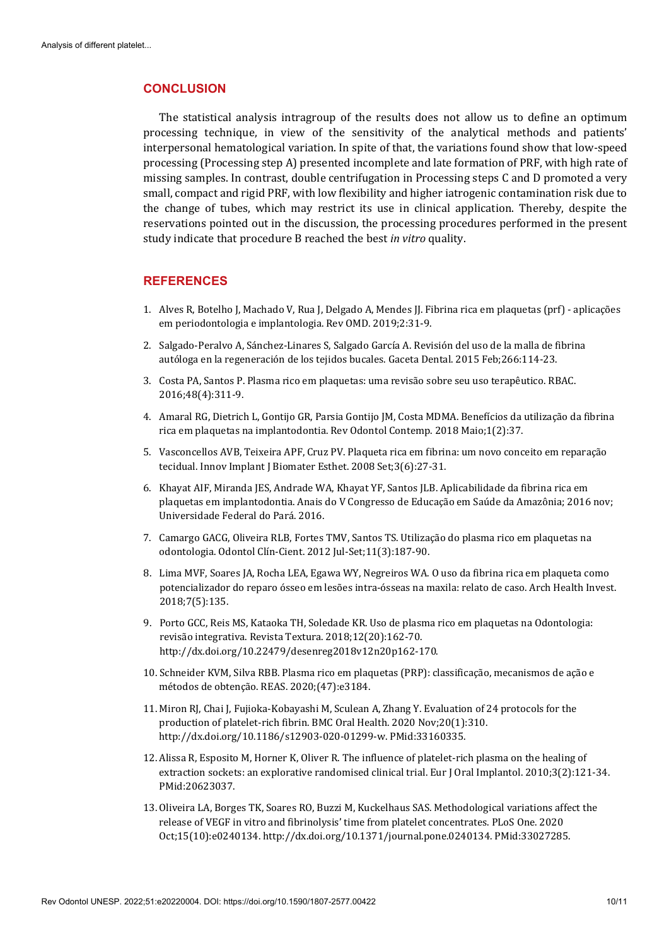## **CONCLUSION**

The statistical analysis intragroup of the results does not allow us to define an optimum processing technique, in view of the sensitivity of the analytical methods and patients' interpersonal hematological variation. In spite of that, the variations found show that low-speed processing (Processing step A) presented incomplete and late formation of PRF, with high rate of missing samples. In contrast, double centrifugation in Processing steps C and D promoted a very small, compact and rigid PRF, with low flexibility and higher iatrogenic contamination risk due to the change of tubes, which may restrict its use in clinical application. Thereby, despite the reservations pointed out in the discussion, the processing procedures performed in the present study indicate that procedure B reached the best *in vitro* quality.

## **REFERENCES**

- 1. Alves R, Botelho J, Machado V, Rua J, Delgado A, Mendes JJ. Fibrina rica em plaquetas (prf) aplicações em periodontologia e implantologia. Rev OMD. 2019;2:31-9.
- 2. Salgado-Peralvo A, Sánchez-Linares S, Salgado García A. Revisión del uso de la malla de fibrina autóloga en la regeneración de los tejidos bucales. Gaceta Dental. 2015 Feb;266:114-23.
- 3. Costa PA, Santos P. Plasma rico em plaquetas: uma revisão sobre seu uso terapêutico. RBAC. 2016;48(4):311-9.
- 4. Amaral RG, Dietrich L, Gontijo GR, Parsia Gontijo JM, Costa MDMA. Benefícios da utilização da fibrina rica em plaquetas na implantodontia. Rev Odontol Contemp. 2018 Maio;1(2):37.
- 5. Vasconcellos AVB, Teixeira APF, Cruz PV. Plaqueta rica em fibrina: um novo conceito em reparação tecidual. Innov Implant J Biomater Esthet. 2008 Set;3(6):27-31.
- 6. Khayat AIF, Miranda JES, Andrade WA, Khayat YF, Santos JLB. Aplicabilidade da fibrina rica em plaquetas em implantodontia. Anais do V Congresso de Educação em Saúde da Amazônia; 2016 nov; Universidade Federal do Pará. 2016.
- 7. Camargo GACG, Oliveira RLB, Fortes TMV, Santos TS. Utilização do plasma rico em plaquetas na odontologia. Odontol Clín-Cient. 2012 Jul-Set;11(3):187-90.
- 8. Lima MVF, Soares JA, Rocha LEA, Egawa WY, Negreiros WA. O uso da fibrina rica em plaqueta como potencializador do reparo ósseo em lesões intra-ósseas na maxila: relato de caso. Arch Health Invest. 2018;7(5):135.
- 9. Porto GCC, Reis MS, Kataoka TH, Soledade KR. Uso de plasma rico em plaquetas na Odontologia: revisão integrativa. Revista Textura. 2018;12(20):162-70. [http://dx.doi.org/10.22479/desenreg2018v12n20p162-170.](https://doi.org/10.22479/desenreg2018v12n20p162-170)
- 10. Schneider KVM, Silva RBB. Plasma rico em plaquetas (PRP): classificação, mecanismos de ação e métodos de obtenção. REAS. 2020;(47):e3184.
- 11. Miron RJ, Chai J, Fujioka-Kobayashi M, Sculean A, Zhang Y. Evaluation of 24 protocols for the production of platelet-rich fibrin. BMC Oral Health. 2020 Nov;20(1):310. [http://dx.doi.org/10.1186/s12903-020-01299-w.](https://doi.org/10.1186/s12903-020-01299-w) [PMid:33160335.](https://www.ncbi.nlm.nih.gov/entrez/query.fcgi?cmd=Retrieve&db=PubMed&list_uids=33160335&dopt=Abstract)
- 12. Alissa R, Esposito M, Horner K, Oliver R. The influence of platelet-rich plasma on the healing of extraction sockets: an explorative randomised clinical trial. Eur J Oral Implantol. 2010;3(2):121-3[4.](https://www.ncbi.nlm.nih.gov/entrez/query.fcgi?cmd=Retrieve&db=PubMed&list_uids=20623037&dopt=Abstract) [PMid:20623037.](https://www.ncbi.nlm.nih.gov/entrez/query.fcgi?cmd=Retrieve&db=PubMed&list_uids=20623037&dopt=Abstract)
- 13. Oliveira LA, Borges TK, Soares RO, Buzzi M, Kuckelhaus SAS. Methodological variations affect the release of VEGF in vitro and fibrinolysis' time from platelet concentrates. PLoS One. 2020 Oct;15(10):e0240134[. http://dx.doi.org/10.1371/journal.pone.0240134.](https://doi.org/10.1371/journal.pone.0240134) [PMid:33027285.](https://www.ncbi.nlm.nih.gov/entrez/query.fcgi?cmd=Retrieve&db=PubMed&list_uids=33027285&dopt=Abstract)